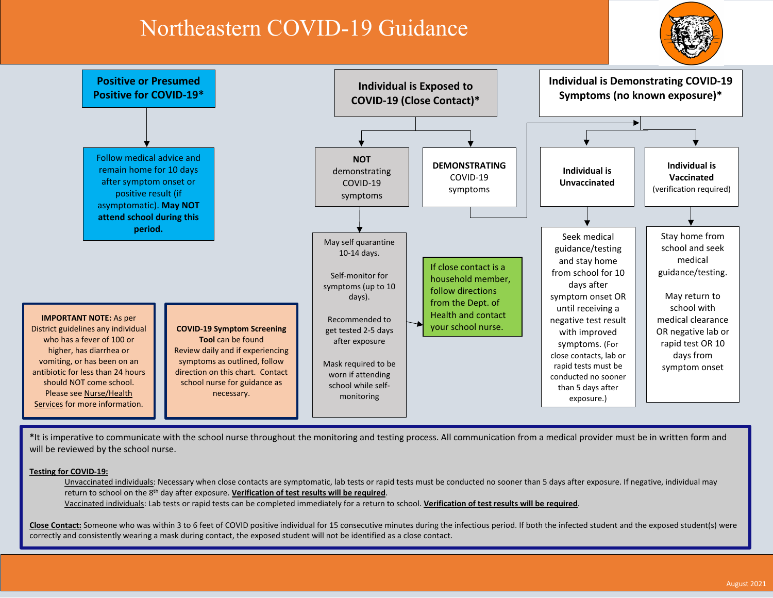## Northeastern COVID-19 Guidance





**\***It is imperative to communicate with the school nurse throughout the monitoring and testing process. All communication from a medical provider must be in written form and will be reviewed by the school nurse.

**Testing for COVID-19:** 

Unvaccinated individuals: Necessary when close contacts are symptomatic, lab tests or rapid tests must be conducted no sooner than 5 days after exposure. If negative, individual may return to school on the 8th day after exposure. **Verification of test results will be required**.

Vaccinated individuals: Lab tests or rapid tests can be completed immediately for a return to school. **Verification of test results will be required**.

**Close Contact:** Someone who was within 3 to 6 feet of COVID positive individual for 15 consecutive minutes during the infectious period. If both the infected student and the exposed student(s) were correctly and consistently wearing a mask during contact, the exposed student will not be identified as a close contact.